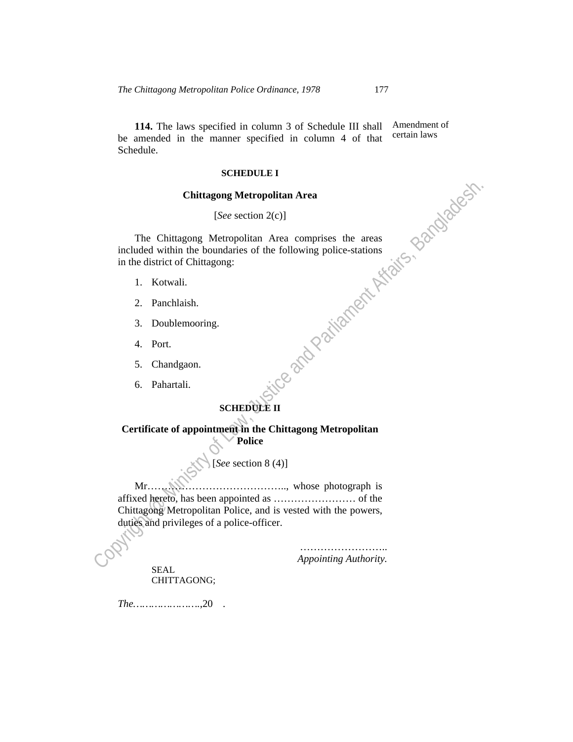**114.** The laws specified in column 3 of Schedule III shall be amended in the manner specified in column 4 of that Schedule. Amendment of certain laws

#### **SCHEDULE I**

### **Chittagong Metropolitan Area**

## [*See* section 2(c)]

Copyright and the Copyright Copyright  $\frac{1}{\sqrt{2}}$ <br>  $\frac{1}{\sqrt{2}}$ <br>
Copyright and Parliament Affairs, Bangladesh.<br>
S. Chandgaon.<br>
6. Pahartali.<br>
SCHEDUXE II<br>
Trifficate of appointment Affairs, Bangladesh.<br>
Police<br>
Mr. (Copy The Chittagong Metropolitan Area comprises the areas included within the boundaries of the following police-stations in the district of Chittagong:

- 1. Kotwali.
- 2. Panchlaish.
- 3. Doublemooring.
- 4. Port.
- 5. Chandgaon.
- 6. Pahartali.

#### **SCHEDULE II**   $\overline{\phantom{0}}$

**Certificate of appointment in the Chittagong Metropolitan Police** 

#### [*See* section 8 (4)]

 Mr………………………………….., whose photograph is affixed hereto, has been appointed as …………………… of the Chittagong Metropolitan Police, and is vested with the powers, duties and privileges of a police-officer.

> ………………………… *Appointing Authority.*

 SEAL CHITTAGONG;

*The………………….*,20 *.*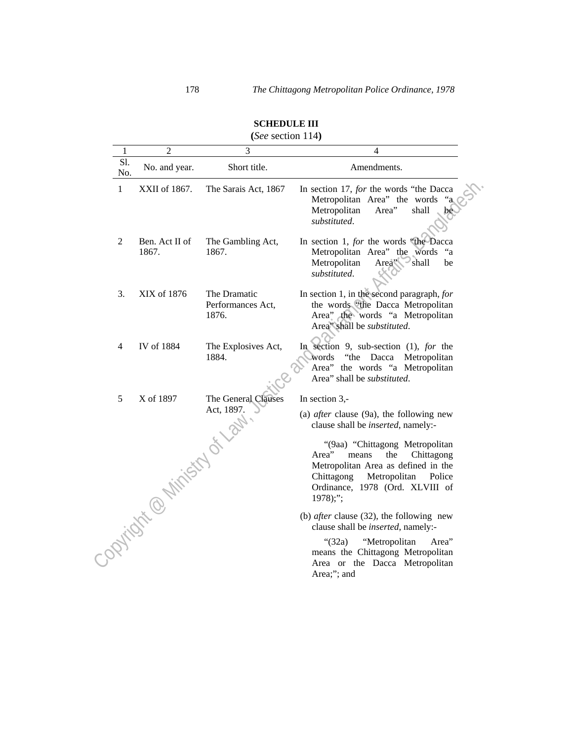| 1          | $\overline{c}$              | (because $117$<br>3                        | 4                                                                                                                                                                                                    |
|------------|-----------------------------|--------------------------------------------|------------------------------------------------------------------------------------------------------------------------------------------------------------------------------------------------------|
| Sl.<br>No. | No. and year.               | Short title.                               | Amendments.                                                                                                                                                                                          |
| 1          | XXII of 1867.               | The Sarais Act, 1867                       | In section 17, for the words "the Dacca<br>Metropolitan Area" the words<br>Metropolitan<br>Area"<br>shall<br>substituted.                                                                            |
| 2          | Ben. Act II of<br>1867.     | The Gambling Act,<br>1867.                 | In section 1, for the words "the Dacca<br>Metropolitan Area" the words<br>"a<br>Area" shall<br>Metropolitan<br>be<br>substituted.                                                                    |
| 3.         | XIX of 1876                 | The Dramatic<br>Performances Act,<br>1876. | In section 1, in the second paragraph, for<br>the words "the Dacca Metropolitan<br>Area" the words "a Metropolitan<br>Area" shall be substituted.                                                    |
| 4          | IV of 1884                  | The Explosives Act,<br>1884.               | In section 9, sub-section (1), for the<br>"the Dacca Metropolitan<br>words<br>Area" the words "a Metropolitan<br>Area" shall be substituted.                                                         |
| 5          | X of 1897                   | The General Clauses                        | In section $3$ ,-                                                                                                                                                                                    |
|            | - Option contributed of the |                                            | (a) <i>after</i> clause $(9a)$ , the following new<br>clause shall be <i>inserted</i> , namely:-                                                                                                     |
|            |                             |                                            | "(9aa) "Chittagong Metropolitan<br>the<br>Area"<br>means<br>Chittagong<br>Metropolitan Area as defined in the<br>Chittagong<br>Metropolitan<br>Police<br>Ordinance, 1978 (Ord. XLVIII of<br>1978);"; |
|            |                             |                                            | (b) <i>after</i> clause $(32)$ , the following new<br>clause shall be <i>inserted</i> , namely:-                                                                                                     |
|            |                             |                                            | "Metropolitan<br>Area"<br>" $(32a)$<br>means the Chittagong Metropolitan<br>Area or the Dacca Metropolitan<br>Area;"; and                                                                            |

# **SCHEDULE III (***See* section 114**)**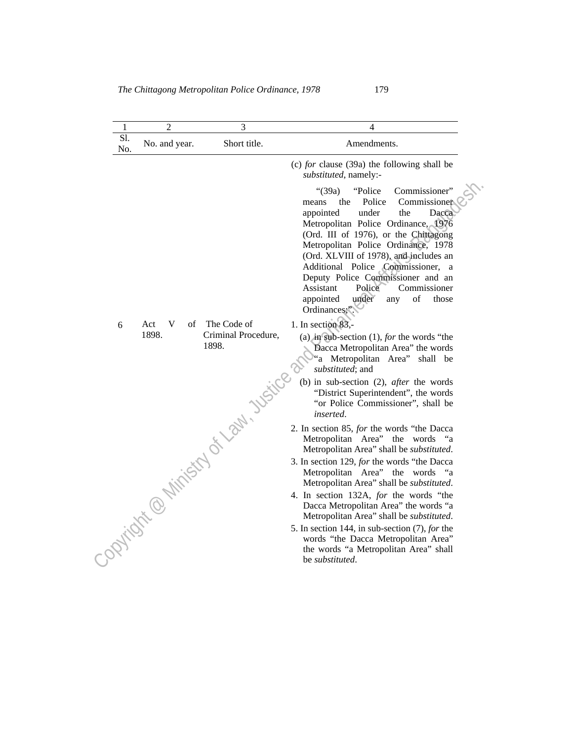| 1                                         | $\overline{2}$ | 3                            | 4                                                                                                                                                                                                                                                                                                                                                                                                                                                                    |
|-------------------------------------------|----------------|------------------------------|----------------------------------------------------------------------------------------------------------------------------------------------------------------------------------------------------------------------------------------------------------------------------------------------------------------------------------------------------------------------------------------------------------------------------------------------------------------------|
| Sl.<br>No.                                | No. and year.  | Short title.                 | Amendments.                                                                                                                                                                                                                                                                                                                                                                                                                                                          |
|                                           |                |                              | (c) for clause $(39a)$ the following shall be<br>substituted, namely:-                                                                                                                                                                                                                                                                                                                                                                                               |
|                                           |                |                              | Commissioner"<br>" $(39a)$<br>"Police"<br>Police<br>Commissioner<br>the<br>means<br>under<br>the<br>appointed<br>Dacca<br>Metropolitan Police Ordinance, 1976<br>(Ord. III of 1976), or the Chittagong<br>Metropolitan Police Ordinance, 1978<br>(Ord. XLVIII of 1978), and includes an<br>Additional Police Commissioner, a<br>Deputy Police Commissioner and an<br>Assistant<br>Police<br>Commissioner<br>under<br>of<br>appointed<br>those<br>any<br>Ordinances;" |
| 6<br>- option is a ministry of law. Visit | Act<br>V<br>of | The Code of                  | 1. In section 83,-                                                                                                                                                                                                                                                                                                                                                                                                                                                   |
|                                           | 1898.          | Criminal Procedure,<br>1898. | (a) in sub-section $(1)$ , for the words "the<br>Dacca Metropolitan Area" the words<br>"a Metropolitan Area"<br>shall be<br>substituted; and                                                                                                                                                                                                                                                                                                                         |
|                                           |                |                              | (b) in sub-section $(2)$ , <i>after</i> the words<br>"District Superintendent", the words<br>"or Police Commissioner", shall be<br>inserted.                                                                                                                                                                                                                                                                                                                         |
|                                           |                |                              | 2. In section 85, for the words "the Dacca<br>Metropolitan Area" the words "a<br>Metropolitan Area" shall be <i>substituted</i> .                                                                                                                                                                                                                                                                                                                                    |
|                                           |                |                              | 3. In section 129, for the words "the Dacca<br>Metropolitan Area" the words "a<br>Metropolitan Area" shall be <i>substituted</i> .                                                                                                                                                                                                                                                                                                                                   |
|                                           |                |                              | 4. In section 132A, for the words "the<br>Dacca Metropolitan Area" the words "a<br>Metropolitan Area" shall be substituted.                                                                                                                                                                                                                                                                                                                                          |
|                                           |                |                              | 5. In section 144, in sub-section (7), for the<br>words "the Dacca Metropolitan Area"<br>the words "a Metropolitan Area" shall<br>be <i>substituted</i> .                                                                                                                                                                                                                                                                                                            |